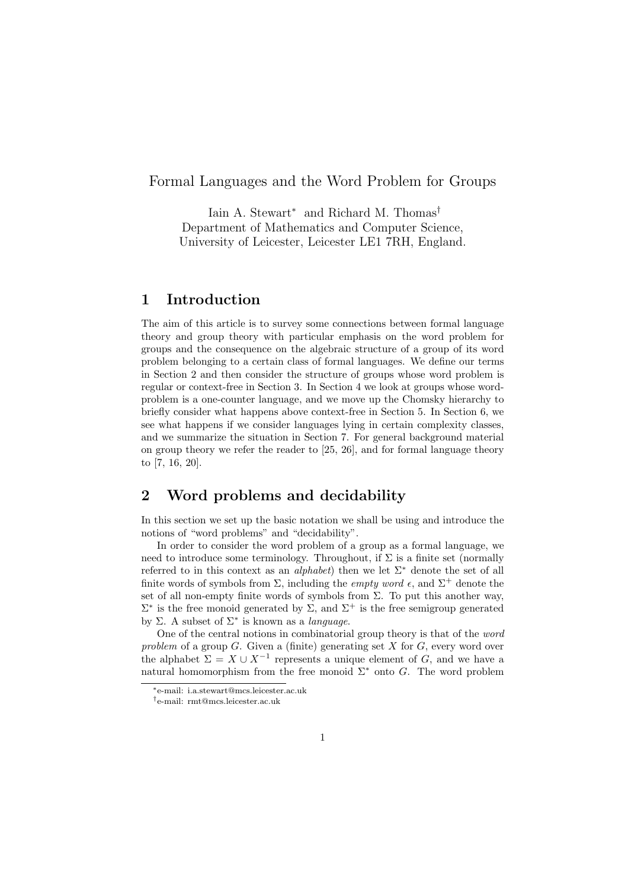### Formal Languages and the Word Problem for Groups

Iain A. Stewart<sup>∗</sup> and Richard M. Thomas† Department of Mathematics and Computer Science, University of Leicester, Leicester LE1 7RH, England.

#### **1 Introduction**

The aim of this article is to survey some connections between formal language theory and group theory with particular emphasis on the word problem for groups and the consequence on the algebraic structure of a group of its word problem belonging to a certain class of formal languages. We define our terms in Section 2 and then consider the structure of groups whose word problem is regular or context-free in Section 3. In Section 4 we look at groups whose wordproblem is a one-counter language, and we move up the Chomsky hierarchy to briefly consider what happens above context-free in Section 5. In Section 6, we see what happens if we consider languages lying in certain complexity classes, and we summarize the situation in Section 7. For general background material on group theory we refer the reader to [25, 26], and for formal language theory to [7, 16, 20].

# **2 Word problems and decidability**

In this section we set up the basic notation we shall be using and introduce the notions of "word problems" and "decidability".

In order to consider the word problem of a group as a formal language, we need to introduce some terminology. Throughout, if  $\Sigma$  is a finite set (normally referred to in this context as an *alphabet*) then we let Σ<sup>∗</sup> denote the set of all finite words of symbols from  $\Sigma$ , including the *empty word*  $\epsilon$ , and  $\Sigma^+$  denote the set of all non-empty finite words of symbols from  $\Sigma$ . To put this another way,  $\Sigma^*$  is the free monoid generated by Σ, and  $\Sigma^+$  is the free semigroup generated by Σ. A subset of Σ<sup>∗</sup> is known as a *language*.

One of the central notions in combinatorial group theory is that of the *word problem* of a group G. Given a (finite) generating set X for G, every word over the alphabet  $\Sigma = X \cup X^{-1}$  represents a unique element of G, and we have a natural homomorphism from the free monoid  $\Sigma^*$  onto G. The word problem

<sup>∗</sup>e-mail: i.a.stewart@mcs.leicester.ac.uk

<sup>†</sup>e-mail: rmt@mcs.leicester.ac.uk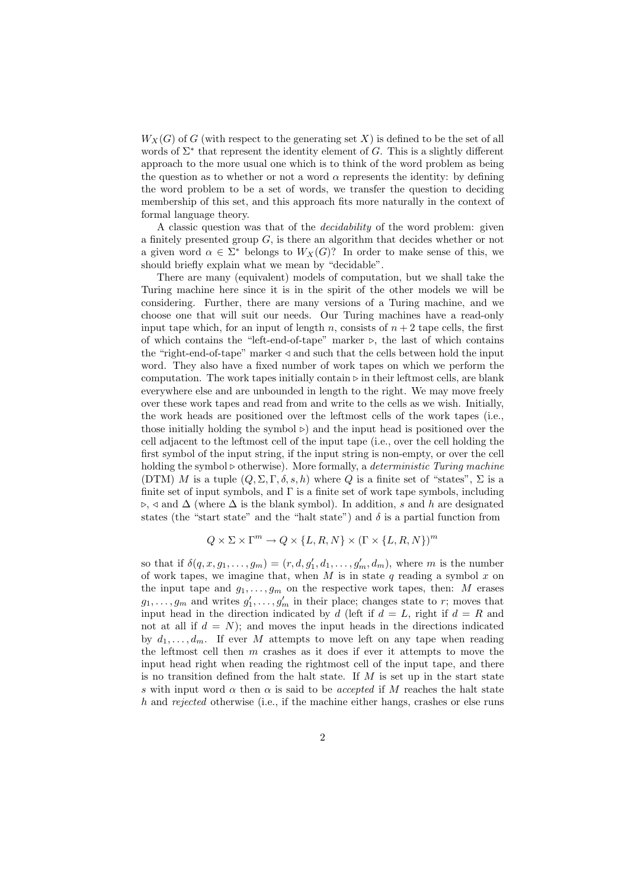$W_X(G)$  of G (with respect to the generating set X) is defined to be the set of all words of  $\Sigma^*$  that represent the identity element of G. This is a slightly different approach to the more usual one which is to think of the word problem as being the question as to whether or not a word  $\alpha$  represents the identity: by defining the word problem to be a set of words, we transfer the question to deciding membership of this set, and this approach fits more naturally in the context of formal language theory.

A classic question was that of the *decidability* of the word problem: given a finitely presented group  $G$ , is there an algorithm that decides whether or not a given word  $\alpha \in \Sigma^*$  belongs to  $W_X(G)$ ? In order to make sense of this, we should briefly explain what we mean by "decidable".

There are many (equivalent) models of computation, but we shall take the Turing machine here since it is in the spirit of the other models we will be considering. Further, there are many versions of a Turing machine, and we choose one that will suit our needs. Our Turing machines have a read-only input tape which, for an input of length n, consists of  $n + 2$  tape cells, the first of which contains the "left-end-of-tape" marker  $\triangleright$ , the last of which contains the "right-end-of-tape" marker  $\triangleleft$  and such that the cells between hold the input word. They also have a fixed number of work tapes on which we perform the computation. The work tapes initially contain  $\triangleright$  in their leftmost cells, are blank everywhere else and are unbounded in length to the right. We may move freely over these work tapes and read from and write to the cells as we wish. Initially, the work heads are positioned over the leftmost cells of the work tapes (i.e., those initially holding the symbol  $\triangleright$  and the input head is positioned over the cell adjacent to the leftmost cell of the input tape (i.e., over the cell holding the first symbol of the input string, if the input string is non-empty, or over the cell holding the symbol  $\triangleright$  otherwise). More formally, a *deterministic Turing machine* (DTM) M is a tuple  $(Q, \Sigma, \Gamma, \delta, s, h)$  where Q is a finite set of "states",  $\Sigma$  is a finite set of input symbols, and  $\Gamma$  is a finite set of work tape symbols, including  $\triangleright$ ,  $\triangleleft$  and  $\triangle$  (where  $\triangle$  is the blank symbol). In addition, s and h are designated states (the "start state" and the "halt state") and  $\delta$  is a partial function from

$$
Q \times \Sigma \times \Gamma^m \to Q \times \{L, R, N\} \times (\Gamma \times \{L, R, N\})^m
$$

so that if  $\delta(q, x, g_1, \ldots, g_m) = (r, d, g'_1, d_1, \ldots, g'_m, d_m)$ , where m is the number of work tapes, we imagine that, when M is in state q reading a symbol x on the input tape and  $g_1, \ldots, g_m$  on the respective work tapes, then: M erases  $g_1, \ldots, g_m$  and writes  $g'_1, \ldots, g'_m$  in their place; changes state to r; moves that input head in the direction indicated by d (left if  $d = L$ , right if  $d = R$  and not at all if  $d = N$ ; and moves the input heads in the directions indicated by  $d_1, \ldots, d_m$ . If ever M attempts to move left on any tape when reading the leftmost cell then m crashes as it does if ever it attempts to move the input head right when reading the rightmost cell of the input tape, and there is no transition defined from the halt state. If  $M$  is set up in the start state s with input word  $\alpha$  then  $\alpha$  is said to be *accepted* if M reaches the halt state h and *rejected* otherwise (i.e., if the machine either hangs, crashes or else runs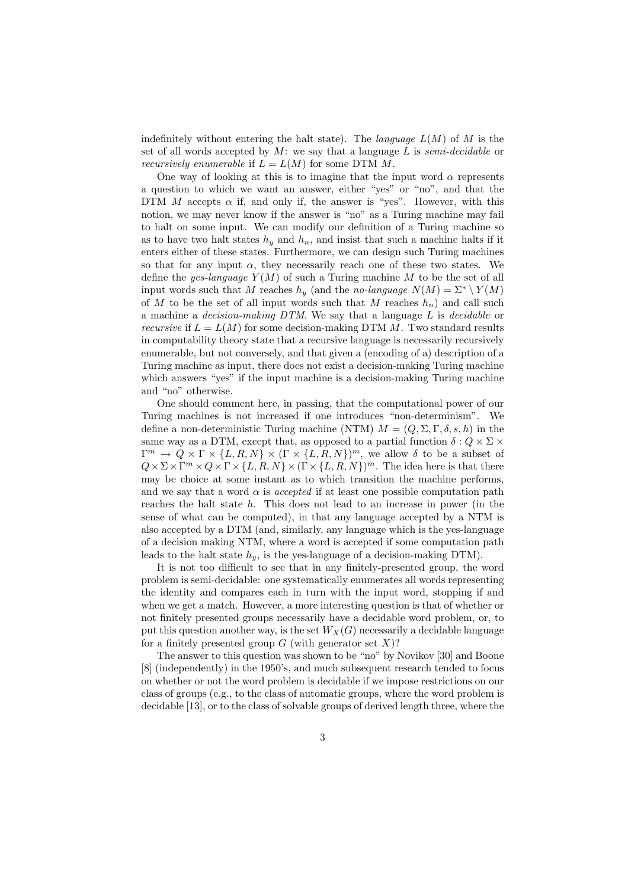indefinitely without entering the halt state). The *language* L(M) of M is the set of all words accepted by M: we say that a language L is *semi-decidable* or *recursively enumerable* if  $L = L(M)$  for some DTM M.

One way of looking at this is to imagine that the input word  $\alpha$  represents a question to which we want an answer, either "yes" or "no", and that the DTM  $M$  accepts  $\alpha$  if, and only if, the answer is "yes". However, with this notion, we may never know if the answer is "no" as a Turing machine may fail to halt on some input. We can modify our definition of a Turing machine so as to have two halt states  $h_y$  and  $h_n$ , and insist that such a machine halts if it enters either of these states. Furthermore, we can design such Turing machines so that for any input  $\alpha$ , they necessarily reach one of these two states. We define the *yes-language*  $Y(M)$  of such a Turing machine M to be the set of all input words such that M reaches  $h_y$  (and the *no-language*  $N(M) = \Sigma^* \setminus Y(M)$ of M to be the set of all input words such that M reaches  $h_n$ ) and call such a machine a *decision-making DTM*. We say that a language L is *decidable* or *recursive* if  $L = L(M)$  for some decision-making DTM M. Two standard results in computability theory state that a recursive language is necessarily recursively enumerable, but not conversely, and that given a (encoding of a) description of a Turing machine as input, there does not exist a decision-making Turing machine which answers "yes" if the input machine is a decision-making Turing machine and "no" otherwise.

One should comment here, in passing, that the computational power of our Turing machines is not increased if one introduces "non-determinism". We define a non-deterministic Turing machine (NTM)  $M = (Q, \Sigma, \Gamma, \delta, s, h)$  in the same way as a DTM, except that, as opposed to a partial function  $\delta: Q \times \Sigma \times$  $\Gamma^m \to Q \times \Gamma \times \{L, R, N\} \times (\Gamma \times \{L, R, N\})^m$ , we allow  $\delta$  to be a subset of  $Q \times \Sigma \times \Gamma^m \times Q \times \Gamma \times \{L, R, N\} \times (\Gamma \times \{L, R, N\})^m$ . The idea here is that there may be choice at some instant as to which transition the machine performs, and we say that a word  $\alpha$  is *accepted* if at least one possible computation path reaches the halt state h. This does not lead to an increase in power (in the sense of what can be computed), in that any language accepted by a NTM is also accepted by a DTM (and, similarly, any language which is the yes-language of a decision making NTM, where a word is accepted if some computation path leads to the halt state h*y*, is the yes-language of a decision-making DTM).

It is not too difficult to see that in any finitely-presented group, the word problem is semi-decidable: one systematically enumerates all words representing the identity and compares each in turn with the input word, stopping if and when we get a match. However, a more interesting question is that of whether or not finitely presented groups necessarily have a decidable word problem, or, to put this question another way, is the set  $W_X(G)$  necessarily a decidable language for a finitely presented group  $G$  (with generator set  $X$ )?

The answer to this question was shown to be "no" by Novikov [30] and Boone [8] (independently) in the 1950's, and much subsequent research tended to focus on whether or not the word problem is decidable if we impose restrictions on our class of groups (e.g., to the class of automatic groups, where the word problem is decidable [13], or to the class of solvable groups of derived length three, where the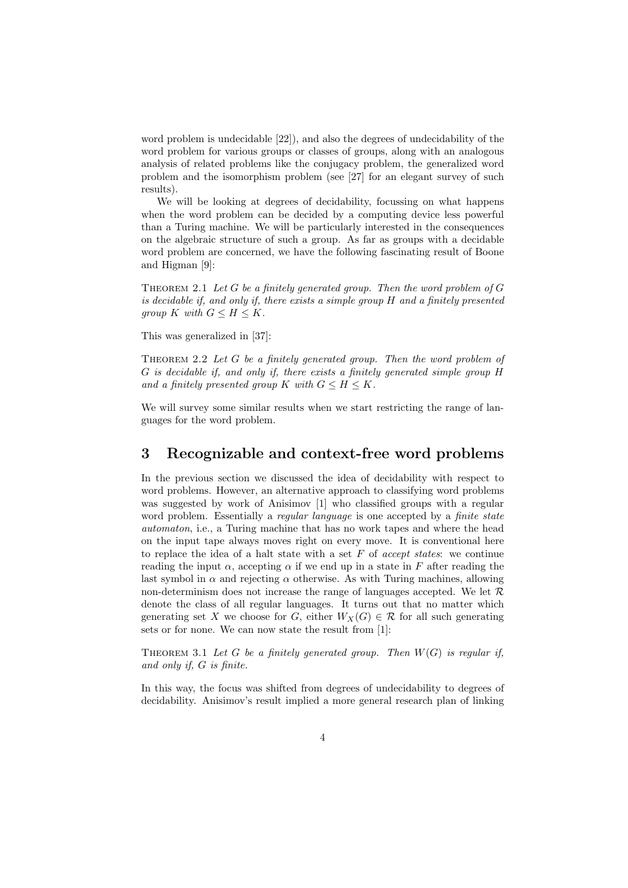word problem is undecidable [22]), and also the degrees of undecidability of the word problem for various groups or classes of groups, along with an analogous analysis of related problems like the conjugacy problem, the generalized word problem and the isomorphism problem (see [27] for an elegant survey of such results).

We will be looking at degrees of decidability, focussing on what happens when the word problem can be decided by a computing device less powerful than a Turing machine. We will be particularly interested in the consequences on the algebraic structure of such a group. As far as groups with a decidable word problem are concerned, we have the following fascinating result of Boone and Higman [9]:

Theorem 2.1 *Let* G *be a finitely generated group. Then the word problem of* G *is decidable if, and only if, there exists a simple group* H *and a finitely presented group*  $K$  *with*  $G \leq H \leq K$ .

This was generalized in [37]:

Theorem 2.2 *Let* G *be a finitely generated group. Then the word problem of* G *is decidable if, and only if, there exists a finitely generated simple group* H *and a finitely presented group* K *with*  $G \leq H \leq K$ .

We will survey some similar results when we start restricting the range of languages for the word problem.

### **3 Recognizable and context-free word problems**

In the previous section we discussed the idea of decidability with respect to word problems. However, an alternative approach to classifying word problems was suggested by work of Anisimov [1] who classified groups with a regular word problem. Essentially a *regular language* is one accepted by a *finite state automaton*, i.e., a Turing machine that has no work tapes and where the head on the input tape always moves right on every move. It is conventional here to replace the idea of a halt state with a set F of *accept states*: we continue reading the input  $\alpha$ , accepting  $\alpha$  if we end up in a state in F after reading the last symbol in  $\alpha$  and rejecting  $\alpha$  otherwise. As with Turing machines, allowing non-determinism does not increase the range of languages accepted. We let  $\mathcal{R}$ denote the class of all regular languages. It turns out that no matter which generating set X we choose for G, either  $W_X(G) \in \mathcal{R}$  for all such generating sets or for none. We can now state the result from [1]:

THEOREM 3.1 Let G be a finitely generated group. Then  $W(G)$  is regular if, *and only if,* G *is finite.*

In this way, the focus was shifted from degrees of undecidability to degrees of decidability. Anisimov's result implied a more general research plan of linking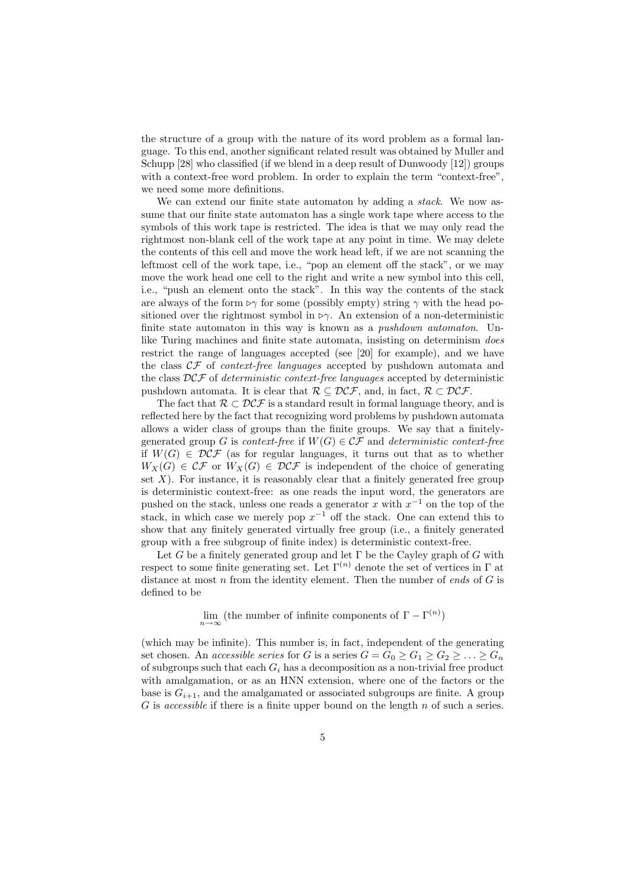the structure of a group with the nature of its word problem as a formal language. To this end, another significant related result was obtained by Muller and Schupp [28] who classified (if we blend in a deep result of Dunwoody [12]) groups with a context-free word problem. In order to explain the term "context-free", we need some more definitions.

We can extend our finite state automaton by adding a *stack*. We now assume that our finite state automaton has a single work tape where access to the symbols of this work tape is restricted. The idea is that we may only read the rightmost non-blank cell of the work tape at any point in time. We may delete the contents of this cell and move the work head left, if we are not scanning the leftmost cell of the work tape, i.e., "pop an element off the stack", or we may move the work head one cell to the right and write a new symbol into this cell, i.e., "push an element onto the stack". In this way the contents of the stack are always of the form  $\triangleright \gamma$  for some (possibly empty) string  $\gamma$  with the head positioned over the rightmost symbol in  $\triangleright \gamma$ . An extension of a non-deterministic finite state automaton in this way is known as a *pushdown automaton*. Unlike Turing machines and finite state automata, insisting on determinism *does* restrict the range of languages accepted (see [20] for example), and we have the class CF of *context-free languages* accepted by pushdown automata and the class DCF of *deterministic context-free languages* accepted by deterministic pushdown automata. It is clear that  $\mathcal{R} \subseteq \mathcal{DCF}$ , and, in fact,  $\mathcal{R} \subset \mathcal{DCF}$ .

The fact that  $\mathcal{R} \subset \mathcal{DCF}$  is a standard result in formal language theory, and is reflected here by the fact that recognizing word problems by pushdown automata allows a wider class of groups than the finite groups. We say that a finitelygenerated group G is *context-free* if  $W(G) \in \mathcal{CF}$  and *deterministic context-free* if  $W(G) \in \mathcal{DCF}$  (as for regular languages, it turns out that as to whether  $W_X(G) \in \mathcal{CF}$  or  $W_X(G) \in \mathcal{DCF}$  is independent of the choice of generating set  $X$ ). For instance, it is reasonably clear that a finitely generated free group is deterministic context-free: as one reads the input word, the generators are pushed on the stack, unless one reads a generator x with  $x^{-1}$  on the top of the stack, in which case we merely pop  $x^{-1}$  off the stack. One can extend this to show that any finitely generated virtually free group (i.e., a finitely generated group with a free subgroup of finite index) is deterministic context-free.

Let G be a finitely generated group and let  $\Gamma$  be the Cayley graph of G with respect to some finite generating set. Let  $\Gamma^{(n)}$  denote the set of vertices in  $\Gamma$  at distance at most n from the identity element. Then the number of *ends* of G is defined to be

 $\lim_{n \to \infty}$  (the number of infinite components of  $\Gamma - \Gamma^{(n)}$ )

(which may be infinite). This number is, in fact, independent of the generating set chosen. An *accessible series* for G is a series  $G = G_0 \ge G_1 \ge G_2 \ge \ldots \ge G_n$ of subgroups such that each G*<sup>i</sup>* has a decomposition as a non-trivial free product with amalgamation, or as an HNN extension, where one of the factors or the base is  $G_{i+1}$ , and the amalgamated or associated subgroups are finite. A group G is *accessible* if there is a finite upper bound on the length n of such a series.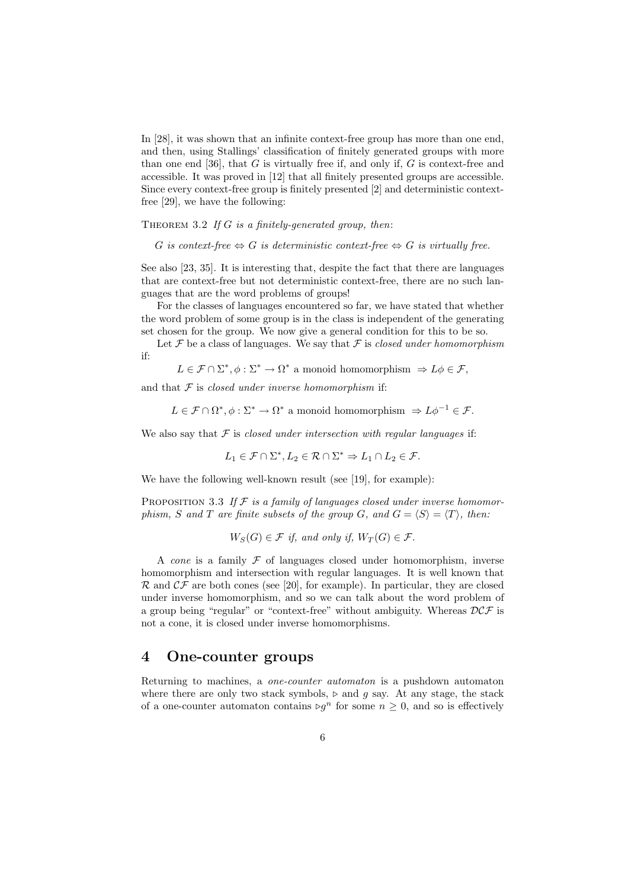In [28], it was shown that an infinite context-free group has more than one end, and then, using Stallings' classification of finitely generated groups with more than one end [36], that  $G$  is virtually free if, and only if,  $G$  is context-free and accessible. It was proved in [12] that all finitely presented groups are accessible. Since every context-free group is finitely presented [2] and deterministic contextfree [29], we have the following:

Theorem 3.2 *If* G *is a finitely-generated group, then*:

G *is context-free*  $\Leftrightarrow G$  *is deterministic context-free*  $\Leftrightarrow G$  *is virtually free.* 

See also [23, 35]. It is interesting that, despite the fact that there are languages that are context-free but not deterministic context-free, there are no such languages that are the word problems of groups!

For the classes of languages encountered so far, we have stated that whether the word problem of some group is in the class is independent of the generating set chosen for the group. We now give a general condition for this to be so.

Let  $\mathcal F$  be a class of languages. We say that  $\mathcal F$  is *closed under homomorphism* if:

$$
L \in \mathcal{F} \cap \Sigma^*, \phi : \Sigma^* \to \Omega^*
$$
 a monoid homomorphism  $\Rightarrow L\phi \in \mathcal{F}$ ,

and that F is *closed under inverse homomorphism* if:

 $L \in \mathcal{F} \cap \Omega^*, \phi : \Sigma^* \to \Omega^*$  a monoid homomorphism  $\Rightarrow L\phi^{-1} \in \mathcal{F}$ .

We also say that  $F$  is *closed under intersection with regular languages* if:

$$
L_1 \in \mathcal{F} \cap \Sigma^*, L_2 \in \mathcal{R} \cap \Sigma^* \Rightarrow L_1 \cap L_2 \in \mathcal{F}.
$$

We have the following well-known result (see [19], for example):

PROPOSITION 3.3 If  $F$  *is a family of languages closed under inverse homomorphism, S* and *T* are finite subsets of the group G, and  $G = \langle S \rangle = \langle T \rangle$ , then:

 $W_S(G) \in \mathcal{F}$  *if, and only if,*  $W_T(G) \in \mathcal{F}$ .

A *cone* is a family  $F$  of languages closed under homomorphism, inverse homomorphism and intersection with regular languages. It is well known that  $\mathcal{R}$  and  $\mathcal{CF}$  are both cones (see [20], for example). In particular, they are closed under inverse homomorphism, and so we can talk about the word problem of a group being "regular" or "context-free" without ambiguity. Whereas  $DCF$  is not a cone, it is closed under inverse homomorphisms.

#### **4 One-counter groups**

Returning to machines, a *one-counter automaton* is a pushdown automaton where there are only two stack symbols,  $\triangleright$  and q say. At any stage, the stack of a one-counter automaton contains  $\triangleright g^n$  for some  $n \geq 0$ , and so is effectively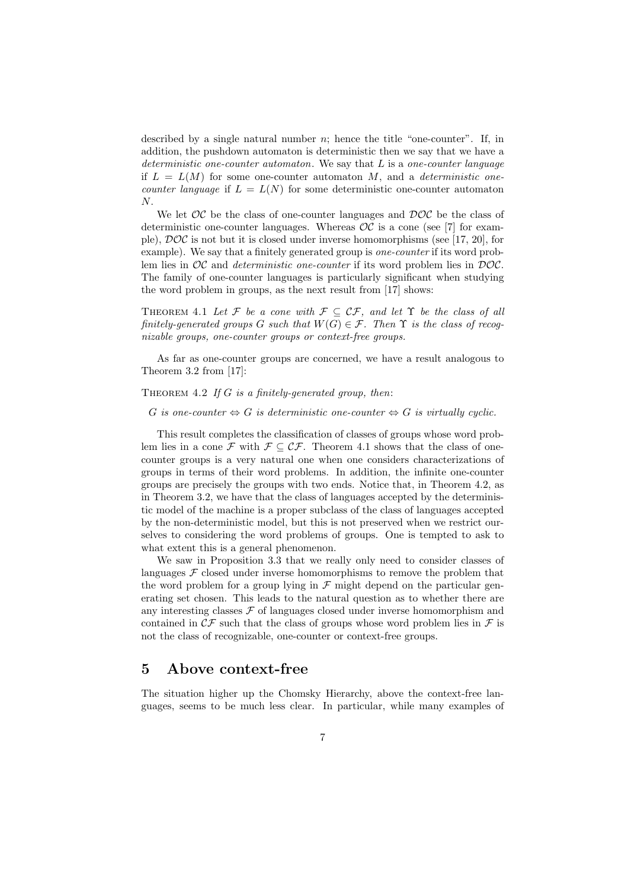described by a single natural number  $n$ ; hence the title "one-counter". If, in addition, the pushdown automaton is deterministic then we say that we have a *deterministic one-counter automaton*. We say that L is a *one-counter language* if  $L = L(M)$  for some one-counter automaton M, and a *deterministic onecounter language* if  $L = L(N)$  for some deterministic one-counter automaton N.

We let  $OC$  be the class of one-counter languages and  $DOC$  be the class of deterministic one-counter languages. Whereas  $OC$  is a cone (see [7] for example),  $\mathcal{DOC}$  is not but it is closed under inverse homomorphisms (see [17, 20], for example). We say that a finitely generated group is *one-counter* if its word problem lies in OC and *deterministic one-counter* if its word problem lies in DOC. The family of one-counter languages is particularly significant when studying the word problem in groups, as the next result from [17] shows:

THEOREM 4.1 Let F be a cone with  $\mathcal{F} \subseteq \mathcal{CF}$ , and let  $\Upsilon$  be the class of all *finitely-generated groups G such that*  $W(G) \in \mathcal{F}$ *. Then*  $\Upsilon$  *is the class of recognizable groups, one-counter groups or context-free groups.*

As far as one-counter groups are concerned, we have a result analogous to Theorem 3.2 from [17]:

Theorem 4.2 *If* G *is a finitely-generated group, then*:

G *is one-counter*  $\Leftrightarrow G$  *is deterministic one-counter*  $\Leftrightarrow G$  *is virtually cyclic.* 

This result completes the classification of classes of groups whose word problem lies in a cone F with  $\mathcal{F} \subset \mathcal{CF}$ . Theorem 4.1 shows that the class of onecounter groups is a very natural one when one considers characterizations of groups in terms of their word problems. In addition, the infinite one-counter groups are precisely the groups with two ends. Notice that, in Theorem 4.2, as in Theorem 3.2, we have that the class of languages accepted by the deterministic model of the machine is a proper subclass of the class of languages accepted by the non-deterministic model, but this is not preserved when we restrict ourselves to considering the word problems of groups. One is tempted to ask to what extent this is a general phenomenon.

We saw in Proposition 3.3 that we really only need to consider classes of languages  $\mathcal F$  closed under inverse homomorphisms to remove the problem that the word problem for a group lying in  $\mathcal F$  might depend on the particular generating set chosen. This leads to the natural question as to whether there are any interesting classes  $\mathcal F$  of languages closed under inverse homomorphism and contained in  $\mathcal{CF}$  such that the class of groups whose word problem lies in  $\mathcal F$  is not the class of recognizable, one-counter or context-free groups.

## **5 Above context-free**

The situation higher up the Chomsky Hierarchy, above the context-free languages, seems to be much less clear. In particular, while many examples of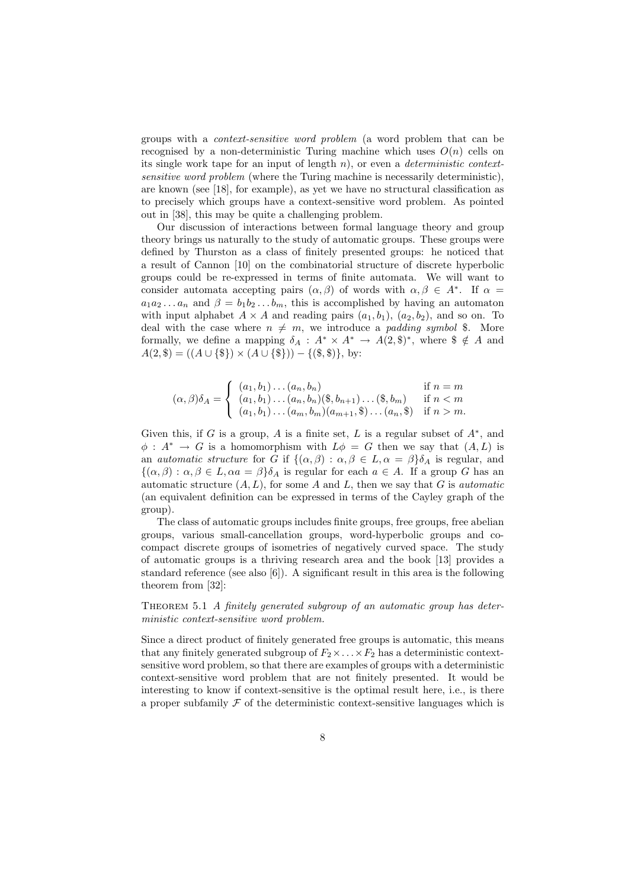groups with a *context-sensitive word problem* (a word problem that can be recognised by a non-deterministic Turing machine which uses  $O(n)$  cells on its single work tape for an input of length n), or even a *deterministic contextsensitive word problem* (where the Turing machine is necessarily deterministic), are known (see [18], for example), as yet we have no structural classification as to precisely which groups have a context-sensitive word problem. As pointed out in [38], this may be quite a challenging problem.

Our discussion of interactions between formal language theory and group theory brings us naturally to the study of automatic groups. These groups were defined by Thurston as a class of finitely presented groups: he noticed that a result of Cannon [10] on the combinatorial structure of discrete hyperbolic groups could be re-expressed in terms of finite automata. We will want to consider automata accepting pairs  $(\alpha, \beta)$  of words with  $\alpha, \beta \in A^*$ . If  $\alpha =$  $a_1a_2...a_n$  and  $\beta = b_1b_2...b_m$ , this is accomplished by having an automaton with input alphabet  $A \times A$  and reading pairs  $(a_1, b_1)$ ,  $(a_2, b_2)$ , and so on. To deal with the case where  $n \neq m$ , we introduce a *padding symbol* \$. More formally, we define a mapping  $\delta_A : A^* \times A^* \to A(2, \mathbb{S})^*$ , where  $\mathbb{S} \notin A$  and  $A(2, \$) = ((A \cup \{\$\}) \times (A \cup \{\$\})) - \{(\$, \$)\}, \text{ by:}$ 

$$
(\alpha, \beta)\delta_A = \begin{cases} (a_1, b_1) \dots (a_n, b_n) & \text{if } n = m \\ (a_1, b_1) \dots (a_n, b_n) (\$, b_{n+1}) \dots (\$, b_m) & \text{if } n < m \\ (a_1, b_1) \dots (a_m, b_m) (a_{m+1}, \$\) \dots (a_n, \$\) & \text{if } n > m. \end{cases}
$$

Given this, if G is a group, A is a finite set, L is a regular subset of  $A^*$ , and  $\phi: A^* \to G$  is a homomorphism with  $L\phi = G$  then we say that  $(A, L)$  is an *automatic structure* for G if  $\{(\alpha, \beta) : \alpha, \beta \in L, \alpha = \beta\} \delta_A$  is regular, and  $\{(\alpha,\beta): \alpha,\beta \in L, \alpha a = \beta\}\delta_A$  is regular for each  $a \in A$ . If a group G has an automatic structure (A, L), for some A and L, then we say that G is *automatic* (an equivalent definition can be expressed in terms of the Cayley graph of the group).

The class of automatic groups includes finite groups, free groups, free abelian groups, various small-cancellation groups, word-hyperbolic groups and cocompact discrete groups of isometries of negatively curved space. The study of automatic groups is a thriving research area and the book [13] provides a standard reference (see also [6]). A significant result in this area is the following theorem from [32]:

Theorem 5.1 *A finitely generated subgroup of an automatic group has deterministic context-sensitive word problem.*

Since a direct product of finitely generated free groups is automatic, this means that any finitely generated subgroup of  $F_2 \times \ldots \times F_2$  has a deterministic contextsensitive word problem, so that there are examples of groups with a deterministic context-sensitive word problem that are not finitely presented. It would be interesting to know if context-sensitive is the optimal result here, i.e., is there a proper subfamily  $\mathcal F$  of the deterministic context-sensitive languages which is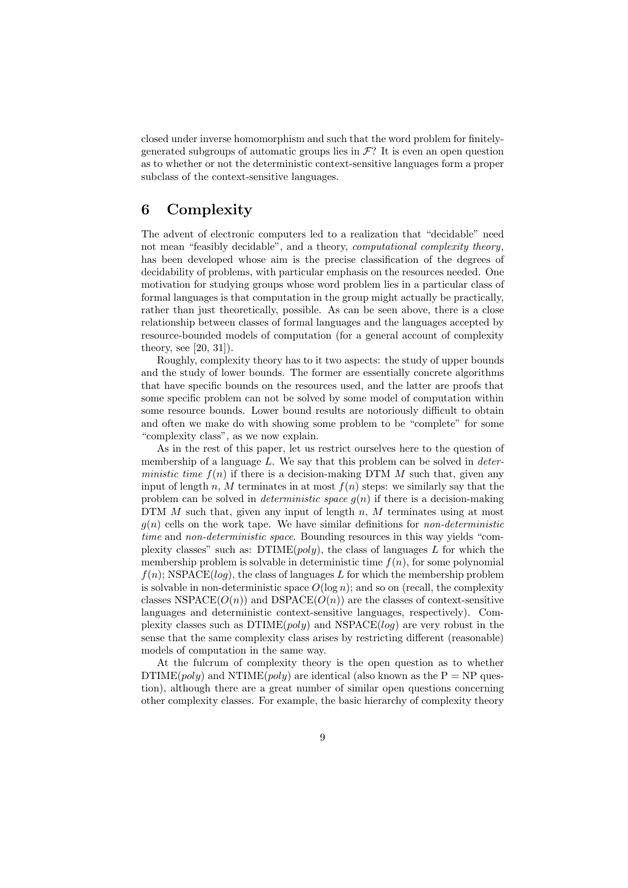closed under inverse homomorphism and such that the word problem for finitelygenerated subgroups of automatic groups lies in  $\mathcal{F}$ ? It is even an open question as to whether or not the deterministic context-sensitive languages form a proper subclass of the context-sensitive languages.

# **6 Complexity**

The advent of electronic computers led to a realization that "decidable" need not mean "feasibly decidable", and a theory, *computational complexity theory*, has been developed whose aim is the precise classification of the degrees of decidability of problems, with particular emphasis on the resources needed. One motivation for studying groups whose word problem lies in a particular class of formal languages is that computation in the group might actually be practically, rather than just theoretically, possible. As can be seen above, there is a close relationship between classes of formal languages and the languages accepted by resource-bounded models of computation (for a general account of complexity theory, see [20, 31]).

Roughly, complexity theory has to it two aspects: the study of upper bounds and the study of lower bounds. The former are essentially concrete algorithms that have specific bounds on the resources used, and the latter are proofs that some specific problem can not be solved by some model of computation within some resource bounds. Lower bound results are notoriously difficult to obtain and often we make do with showing some problem to be "complete" for some "complexity class", as we now explain.

As in the rest of this paper, let us restrict ourselves here to the question of membership of a language L. We say that this problem can be solved in *deterministic time*  $f(n)$  if there is a decision-making DTM M such that, given any input of length n, M terminates in at most  $f(n)$  steps: we similarly say that the problem can be solved in *deterministic space* g(n) if there is a decision-making DTM  $M$  such that, given any input of length  $n$ ,  $M$  terminates using at most  $g(n)$  cells on the work tape. We have similar definitions for *non-deterministic time* and *non-deterministic space*. Bounding resources in this way yields "complexity classes" such as:  $DTIME(poly)$ , the class of languages L for which the membership problem is solvable in deterministic time  $f(n)$ , for some polynomial  $f(n)$ ; NSPACE(log), the class of languages L for which the membership problem is solvable in non-deterministic space  $O(\log n)$ ; and so on (recall, the complexity classes NSPACE( $O(n)$ ) and DSPACE( $O(n)$ ) are the classes of context-sensitive languages and deterministic context-sensitive languages, respectively). Complexity classes such as  $DTIME(poly)$  and  $NSPACE(log)$  are very robust in the sense that the same complexity class arises by restricting different (reasonable) models of computation in the same way.

At the fulcrum of complexity theory is the open question as to whether DTIME(*poly*) and NTIME(*poly*) are identical (also known as the  $P = NP$  question), although there are a great number of similar open questions concerning other complexity classes. For example, the basic hierarchy of complexity theory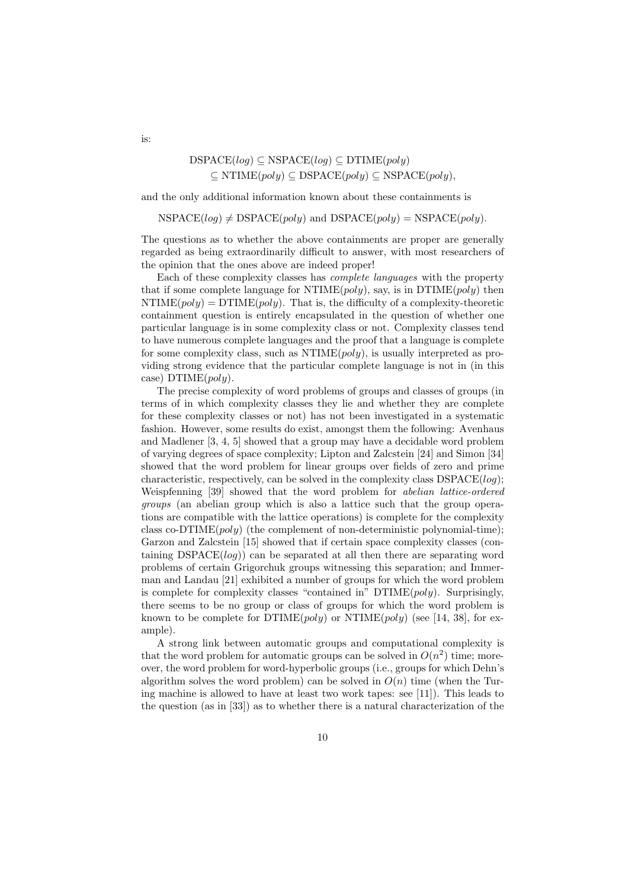$\text{DSPACE}(log) \subseteq \text{NSPACE}(log) \subseteq \text{DTIME}(poly)$  $\subseteq$  NTIME $(poly) \subseteq$  DSPACE $(poly) \subseteq$  NSPACE $(poly)$ ,

and the only additional information known about these containments is

 $NSPACE(log) \neq DSPACE(poly)$  and  $DSPACE(poly) = NSPACE(poly)$ .

The questions as to whether the above containments are proper are generally regarded as being extraordinarily difficult to answer, with most researchers of the opinion that the ones above are indeed proper!

Each of these complexity classes has *complete languages* with the property that if some complete language for NTIME(*poly*), say, is in DTIME(*poly*) then  $NTIME(poly) = DTIME(poly)$ . That is, the difficulty of a complexity-theoretic containment question is entirely encapsulated in the question of whether one particular language is in some complexity class or not. Complexity classes tend to have numerous complete languages and the proof that a language is complete for some complexity class, such as  $NTIME(poly)$ , is usually interpreted as providing strong evidence that the particular complete language is not in (in this case)  $DTIME(poly)$ .

The precise complexity of word problems of groups and classes of groups (in terms of in which complexity classes they lie and whether they are complete for these complexity classes or not) has not been investigated in a systematic fashion. However, some results do exist, amongst them the following: Avenhaus and Madlener [3, 4, 5] showed that a group may have a decidable word problem of varying degrees of space complexity; Lipton and Zalcstein [24] and Simon [34] showed that the word problem for linear groups over fields of zero and prime characteristic, respectively, can be solved in the complexity class  $DSPACE(log);$ Weispfenning [39] showed that the word problem for *abelian lattice-ordered groups* (an abelian group which is also a lattice such that the group operations are compatible with the lattice operations) is complete for the complexity class co-DTIME $(poly)$  (the complement of non-deterministic polynomial-time); Garzon and Zalcstein [15] showed that if certain space complexity classes (containing  $DSPACE(log)$  can be separated at all then there are separating word problems of certain Grigorchuk groups witnessing this separation; and Immerman and Landau [21] exhibited a number of groups for which the word problem is complete for complexity classes "contained in" DTIME(poly). Surprisingly, there seems to be no group or class of groups for which the word problem is known to be complete for  $DTIME(poly)$  or  $NTIME(poly)$  (see [14, 38], for example).

A strong link between automatic groups and computational complexity is that the word problem for automatic groups can be solved in  $O(n^2)$  time; moreover, the word problem for word-hyperbolic groups (i.e., groups for which Dehn's algorithm solves the word problem) can be solved in  $O(n)$  time (when the Turing machine is allowed to have at least two work tapes: see [11]). This leads to the question (as in [33]) as to whether there is a natural characterization of the

is: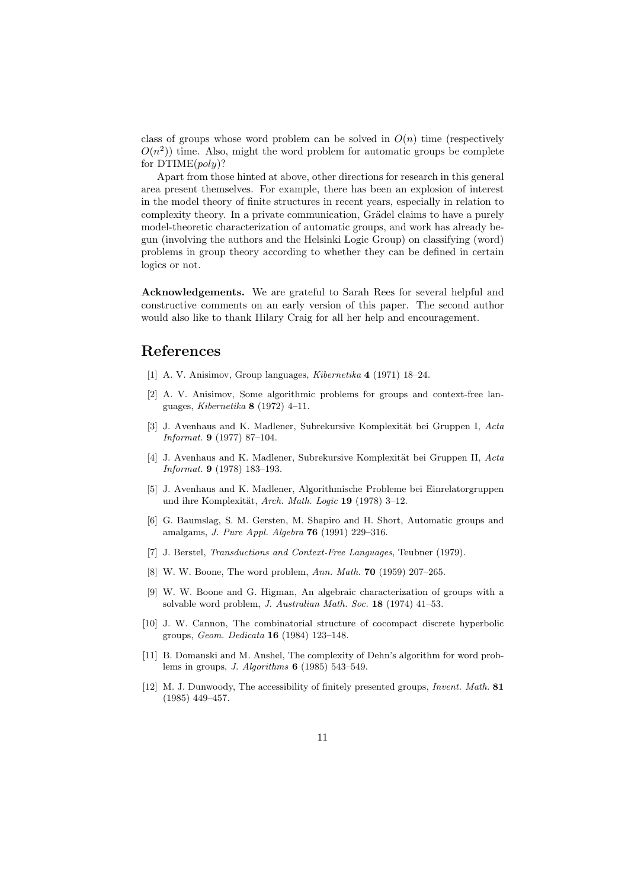class of groups whose word problem can be solved in  $O(n)$  time (respectively  $O(n^2)$  time. Also, might the word problem for automatic groups be complete for  $DTIME(poly)$ ?

Apart from those hinted at above, other directions for research in this general area present themselves. For example, there has been an explosion of interest in the model theory of finite structures in recent years, especially in relation to complexity theory. In a private communication, Grädel claims to have a purely model-theoretic characterization of automatic groups, and work has already begun (involving the authors and the Helsinki Logic Group) on classifying (word) problems in group theory according to whether they can be defined in certain logics or not.

**Acknowledgements.** We are grateful to Sarah Rees for several helpful and constructive comments on an early version of this paper. The second author would also like to thank Hilary Craig for all her help and encouragement.

## **References**

- [1] A. V. Anisimov, Group languages, *Kibernetika* **4** (1971) 18–24.
- [2] A. V. Anisimov, Some algorithmic problems for groups and context-free languages, *Kibernetika* **8** (1972) 4–11.
- [3] J. Avenhaus and K. Madlener, Subrekursive Komplexität bei Gruppen I, *Acta Informat.* **9** (1977) 87–104.
- [4] J. Avenhaus and K. Madlener, Subrekursive Komplexität bei Gruppen II, *Acta Informat.* **9** (1978) 183–193.
- [5] J. Avenhaus and K. Madlener, Algorithmische Probleme bei Einrelatorgruppen und ihre Komplexität, *Arch. Math. Logic* **19** (1978) 3-12.
- [6] G. Baumslag, S. M. Gersten, M. Shapiro and H. Short, Automatic groups and amalgams, *J. Pure Appl. Algebra* **76** (1991) 229–316.
- [7] J. Berstel, *Transductions and Context-Free Languages*, Teubner (1979).
- [8] W. W. Boone, The word problem, *Ann. Math.* **70** (1959) 207–265.
- [9] W. W. Boone and G. Higman, An algebraic characterization of groups with a solvable word problem, *J. Australian Math. Soc.* **18** (1974) 41–53.
- [10] J. W. Cannon, The combinatorial structure of cocompact discrete hyperbolic groups, *Geom. Dedicata* **16** (1984) 123–148.
- [11] B. Domanski and M. Anshel, The complexity of Dehn's algorithm for word problems in groups, *J. Algorithms* **6** (1985) 543–549.
- [12] M. J. Dunwoody, The accessibility of finitely presented groups, *Invent. Math.* **81** (1985) 449–457.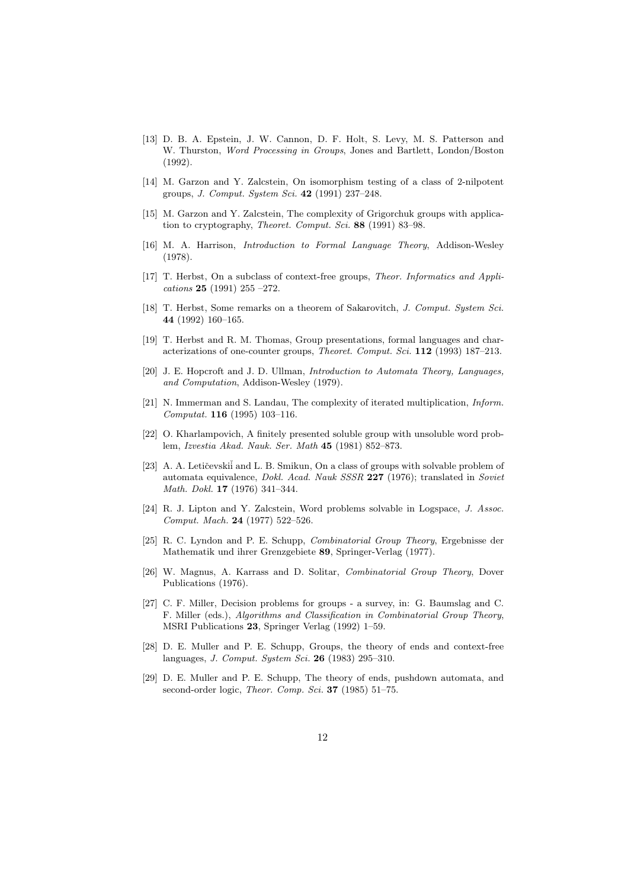- [13] D. B. A. Epstein, J. W. Cannon, D. F. Holt, S. Levy, M. S. Patterson and W. Thurston, *Word Processing in Groups*, Jones and Bartlett, London/Boston (1992).
- [14] M. Garzon and Y. Zalcstein, On isomorphism testing of a class of 2-nilpotent groups, *J. Comput. System Sci.* **42** (1991) 237–248.
- [15] M. Garzon and Y. Zalcstein, The complexity of Grigorchuk groups with application to cryptography, *Theoret. Comput. Sci.* **88** (1991) 83–98.
- [16] M. A. Harrison, *Introduction to Formal Language Theory*, Addison-Wesley (1978).
- [17] T. Herbst, On a subclass of context-free groups, *Theor. Informatics and Applications* **25** (1991) 255 –272.
- [18] T. Herbst, Some remarks on a theorem of Sakarovitch, *J. Comput. System Sci.* **44** (1992) 160–165.
- [19] T. Herbst and R. M. Thomas, Group presentations, formal languages and characterizations of one-counter groups, *Theoret. Comput. Sci.* **112** (1993) 187–213.
- [20] J. E. Hopcroft and J. D. Ullman, *Introduction to Automata Theory, Languages, and Computation*, Addison-Wesley (1979).
- [21] N. Immerman and S. Landau, The complexity of iterated multiplication, *Inform. Computat.* **116** (1995) 103–116.
- [22] O. Kharlampovich, A finitely presented soluble group with unsoluble word problem, *Izvestia Akad. Nauk. Ser. Math* **45** (1981) 852–873.
- [23] A. A. Letičevskiĭ and L. B. Smikun, On a class of groups with solvable problem of automata equivalence, *Dokl. Acad. Nauk SSSR* **227** (1976); translated in *Soviet Math. Dokl.* **17** (1976) 341–344.
- [24] R. J. Lipton and Y. Zalcstein, Word problems solvable in Logspace, *J. Assoc. Comput. Mach.* **24** (1977) 522–526.
- [25] R. C. Lyndon and P. E. Schupp, *Combinatorial Group Theory*, Ergebnisse der Mathematik und ihrer Grenzgebiete **89**, Springer-Verlag (1977).
- [26] W. Magnus, A. Karrass and D. Solitar, *Combinatorial Group Theory*, Dover Publications (1976).
- [27] C. F. Miller, Decision problems for groups a survey, in: G. Baumslag and C. F. Miller (eds.), *Algorithms and Classification in Combinatorial Group Theory*, MSRI Publications **23**, Springer Verlag (1992) 1–59.
- [28] D. E. Muller and P. E. Schupp, Groups, the theory of ends and context-free languages, *J. Comput. System Sci.* **26** (1983) 295–310.
- [29] D. E. Muller and P. E. Schupp, The theory of ends, pushdown automata, and second-order logic, *Theor. Comp. Sci.* **37** (1985) 51–75.